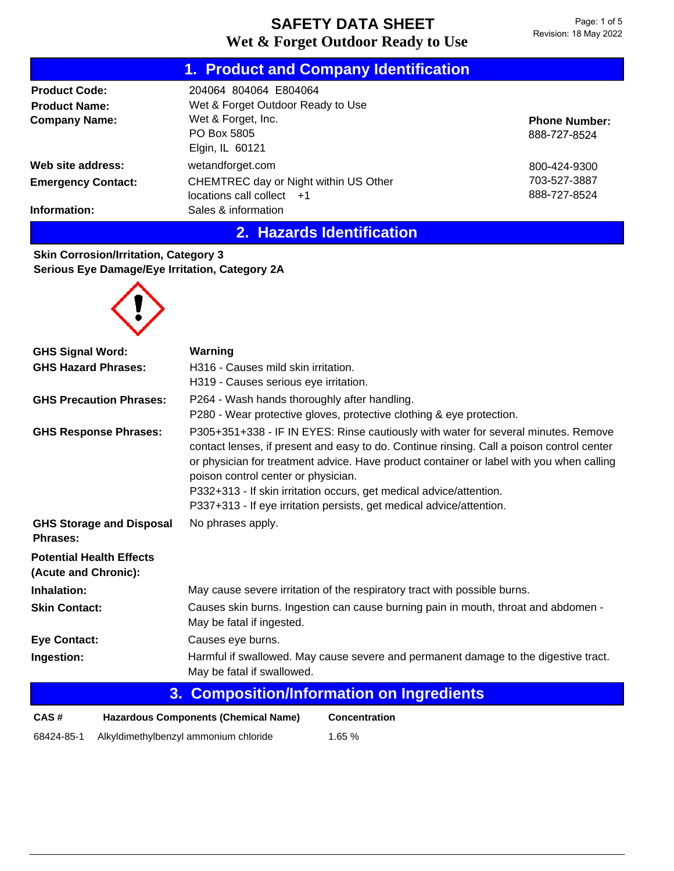|                           | 1. Product and Company Identification |                      |  |
|---------------------------|---------------------------------------|----------------------|--|
| <b>Product Code:</b>      | 204064 804064 E804064                 |                      |  |
| <b>Product Name:</b>      | Wet & Forget Outdoor Ready to Use     |                      |  |
| <b>Company Name:</b>      | Wet & Forget, Inc.                    | <b>Phone Number:</b> |  |
|                           | PO Box 5805                           | 888-727-8524         |  |
|                           | Elgin, IL 60121                       |                      |  |
| Web site address:         | wetandforget.com                      | 800-424-9300         |  |
| <b>Emergency Contact:</b> | CHEMTREC day or Night within US Other | 703-527-3887         |  |
|                           | $locations$ call collect $+1$         | 888-727-8524         |  |
| Information:              | Sales & information                   |                      |  |

## **2. Hazards Identification**

**Skin Corrosion/Irritation, Category 3 Serious Eye Damage/Eye Irritation, Category 2A**



| <b>GHS Signal Word:</b>                                              | Warning                                                                                                                                                                                                                                                                                                                                                                                                                                                           |  |  |  |
|----------------------------------------------------------------------|-------------------------------------------------------------------------------------------------------------------------------------------------------------------------------------------------------------------------------------------------------------------------------------------------------------------------------------------------------------------------------------------------------------------------------------------------------------------|--|--|--|
| <b>GHS Hazard Phrases:</b>                                           | H316 - Causes mild skin irritation.                                                                                                                                                                                                                                                                                                                                                                                                                               |  |  |  |
|                                                                      | H319 - Causes serious eye irritation.                                                                                                                                                                                                                                                                                                                                                                                                                             |  |  |  |
| <b>GHS Precaution Phrases:</b>                                       | P264 - Wash hands thoroughly after handling.                                                                                                                                                                                                                                                                                                                                                                                                                      |  |  |  |
|                                                                      | P280 - Wear protective gloves, protective clothing & eye protection.                                                                                                                                                                                                                                                                                                                                                                                              |  |  |  |
| <b>GHS Response Phrases:</b>                                         | P305+351+338 - IF IN EYES: Rinse cautiously with water for several minutes. Remove<br>contact lenses, if present and easy to do. Continue rinsing. Call a poison control center<br>or physician for treatment advice. Have product container or label with you when calling<br>poison control center or physician.<br>P332+313 - If skin irritation occurs, get medical advice/attention.<br>P337+313 - If eye irritation persists, get medical advice/attention. |  |  |  |
| <b>GHS Storage and Disposal</b><br>Phrases:                          | No phrases apply.                                                                                                                                                                                                                                                                                                                                                                                                                                                 |  |  |  |
| <b>Potential Health Effects</b><br>(Acute and Chronic):              |                                                                                                                                                                                                                                                                                                                                                                                                                                                                   |  |  |  |
| Inhalation:                                                          | May cause severe irritation of the respiratory tract with possible burns.                                                                                                                                                                                                                                                                                                                                                                                         |  |  |  |
| <b>Skin Contact:</b>                                                 | Causes skin burns. Ingestion can cause burning pain in mouth, throat and abdomen -<br>May be fatal if ingested.                                                                                                                                                                                                                                                                                                                                                   |  |  |  |
| <b>Eye Contact:</b>                                                  | Causes eye burns.                                                                                                                                                                                                                                                                                                                                                                                                                                                 |  |  |  |
| Ingestion:                                                           | Harmful if swallowed. May cause severe and permanent damage to the digestive tract.<br>May be fatal if swallowed.                                                                                                                                                                                                                                                                                                                                                 |  |  |  |
| 3. Composition/Information on Ingredients                            |                                                                                                                                                                                                                                                                                                                                                                                                                                                                   |  |  |  |
| <b>Hazardous Components (Chemical Name)</b><br>CAS#<br>Concentration |                                                                                                                                                                                                                                                                                                                                                                                                                                                                   |  |  |  |

68424-85-1 Alkyldimethylbenzyl ammonium chloride 1.65 %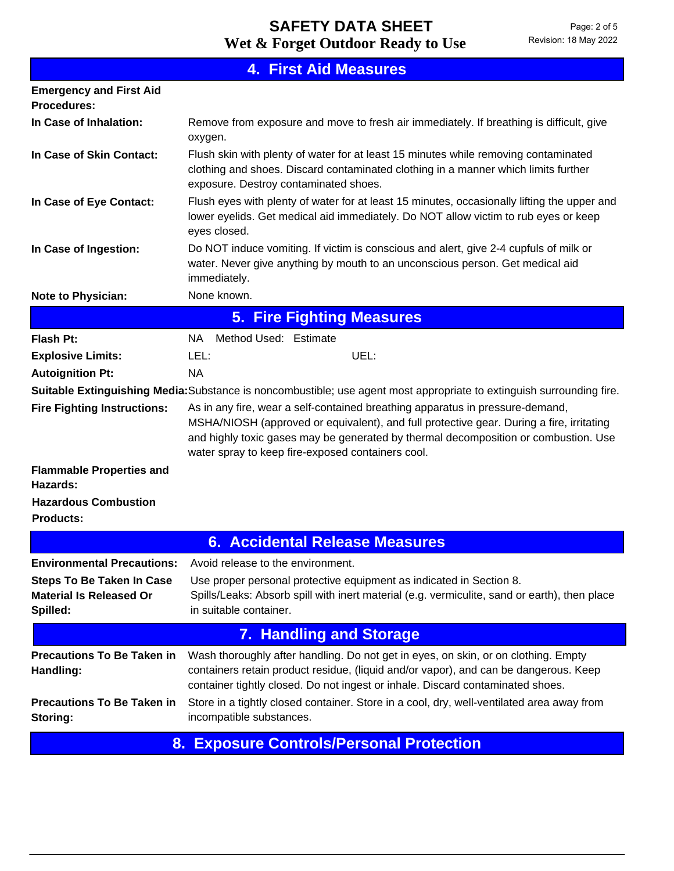| <b>4. First Aid Measures</b>                                                   |                                                                                                                                                                                                                                                                                                                       |  |  |  |  |
|--------------------------------------------------------------------------------|-----------------------------------------------------------------------------------------------------------------------------------------------------------------------------------------------------------------------------------------------------------------------------------------------------------------------|--|--|--|--|
| <b>Emergency and First Aid</b><br><b>Procedures:</b>                           |                                                                                                                                                                                                                                                                                                                       |  |  |  |  |
| In Case of Inhalation:                                                         | Remove from exposure and move to fresh air immediately. If breathing is difficult, give<br>oxygen.                                                                                                                                                                                                                    |  |  |  |  |
| In Case of Skin Contact:                                                       | Flush skin with plenty of water for at least 15 minutes while removing contaminated<br>clothing and shoes. Discard contaminated clothing in a manner which limits further<br>exposure. Destroy contaminated shoes.                                                                                                    |  |  |  |  |
| In Case of Eye Contact:                                                        | Flush eyes with plenty of water for at least 15 minutes, occasionally lifting the upper and<br>lower eyelids. Get medical aid immediately. Do NOT allow victim to rub eyes or keep<br>eyes closed.                                                                                                                    |  |  |  |  |
| In Case of Ingestion:                                                          | Do NOT induce vomiting. If victim is conscious and alert, give 2-4 cupfuls of milk or<br>water. Never give anything by mouth to an unconscious person. Get medical aid<br>immediately.                                                                                                                                |  |  |  |  |
| <b>Note to Physician:</b>                                                      | None known.                                                                                                                                                                                                                                                                                                           |  |  |  |  |
| <b>5. Fire Fighting Measures</b>                                               |                                                                                                                                                                                                                                                                                                                       |  |  |  |  |
| <b>Flash Pt:</b>                                                               | Method Used: Estimate<br>NA.                                                                                                                                                                                                                                                                                          |  |  |  |  |
| <b>Explosive Limits:</b>                                                       | UEL:<br>LEL:                                                                                                                                                                                                                                                                                                          |  |  |  |  |
| <b>Autoignition Pt:</b>                                                        | <b>NA</b>                                                                                                                                                                                                                                                                                                             |  |  |  |  |
|                                                                                | Suitable Extinguishing Media: Substance is noncombustible; use agent most appropriate to extinguish surrounding fire.                                                                                                                                                                                                 |  |  |  |  |
| <b>Fire Fighting Instructions:</b>                                             | As in any fire, wear a self-contained breathing apparatus in pressure-demand,<br>MSHA/NIOSH (approved or equivalent), and full protective gear. During a fire, irritating<br>and highly toxic gases may be generated by thermal decomposition or combustion. Use<br>water spray to keep fire-exposed containers cool. |  |  |  |  |
| <b>Flammable Properties and</b><br>Hazards:                                    |                                                                                                                                                                                                                                                                                                                       |  |  |  |  |
| <b>Hazardous Combustion</b><br><b>Products:</b>                                |                                                                                                                                                                                                                                                                                                                       |  |  |  |  |
|                                                                                | <b>6. Accidental Release Measures</b>                                                                                                                                                                                                                                                                                 |  |  |  |  |
| <b>Environmental Precautions:</b>                                              | Avoid release to the environment.                                                                                                                                                                                                                                                                                     |  |  |  |  |
| <b>Steps To Be Taken In Case</b><br><b>Material Is Released Or</b><br>Spilled: | Use proper personal protective equipment as indicated in Section 8.<br>Spills/Leaks: Absorb spill with inert material (e.g. vermiculite, sand or earth), then place<br>in suitable container.                                                                                                                         |  |  |  |  |
| <b>7. Handling and Storage</b>                                                 |                                                                                                                                                                                                                                                                                                                       |  |  |  |  |
| <b>Precautions To Be Taken in</b><br>Handling:                                 | Wash thoroughly after handling. Do not get in eyes, on skin, or on clothing. Empty<br>containers retain product residue, (liquid and/or vapor), and can be dangerous. Keep<br>container tightly closed. Do not ingest or inhale. Discard contaminated shoes.                                                          |  |  |  |  |
| <b>Precautions To Be Taken in</b><br>Storing:                                  | Store in a tightly closed container. Store in a cool, dry, well-ventilated area away from<br>incompatible substances.                                                                                                                                                                                                 |  |  |  |  |
| 0.                                                                             | Evnesure Centrels/Dersonal Dretestion                                                                                                                                                                                                                                                                                 |  |  |  |  |

**8. Exposure Controls/Personal Protection**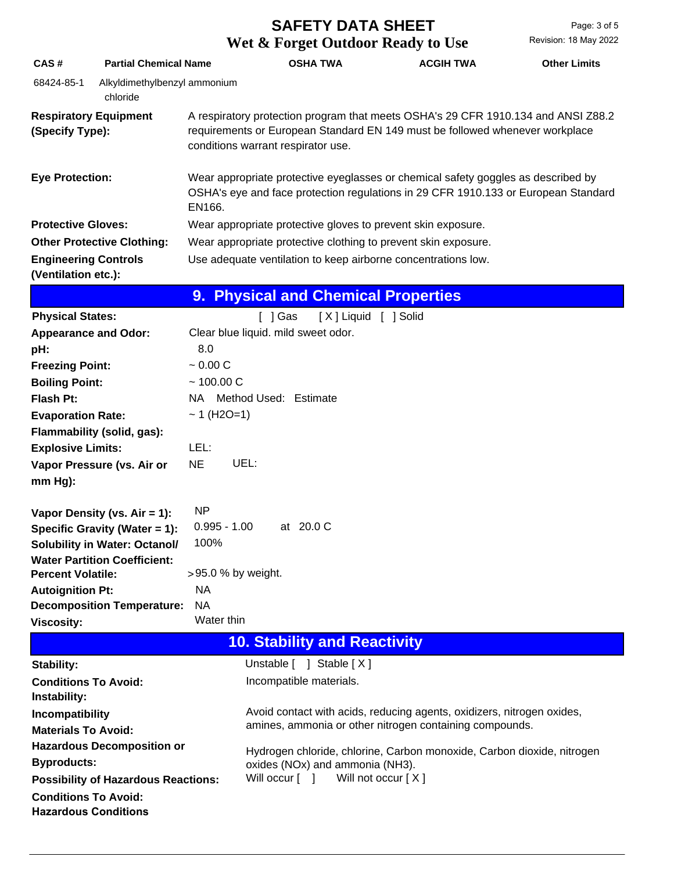# **Wet & Forget Outdoor Ready to Use SAFETY DATA SHEET**

| CAS#                                                       | <b>Partial Chemical Name</b>                                                                                                                                                      |                                                                              | <b>OSHA TWA</b>                                                                                                                                                                                         | <b>ACGIH TWA</b> | <b>Other Limits</b> |  |  |
|------------------------------------------------------------|-----------------------------------------------------------------------------------------------------------------------------------------------------------------------------------|------------------------------------------------------------------------------|---------------------------------------------------------------------------------------------------------------------------------------------------------------------------------------------------------|------------------|---------------------|--|--|
| 68424-85-1                                                 | Alkyldimethylbenzyl ammonium<br>chloride                                                                                                                                          |                                                                              |                                                                                                                                                                                                         |                  |                     |  |  |
| <b>Respiratory Equipment</b><br>(Specify Type):            |                                                                                                                                                                                   |                                                                              | A respiratory protection program that meets OSHA's 29 CFR 1910.134 and ANSI Z88.2<br>requirements or European Standard EN 149 must be followed whenever workplace<br>conditions warrant respirator use. |                  |                     |  |  |
| <b>Eye Protection:</b><br>EN166.                           |                                                                                                                                                                                   |                                                                              | Wear appropriate protective eyeglasses or chemical safety goggles as described by<br>OSHA's eye and face protection regulations in 29 CFR 1910.133 or European Standard                                 |                  |                     |  |  |
| <b>Protective Gloves:</b>                                  |                                                                                                                                                                                   |                                                                              | Wear appropriate protective gloves to prevent skin exposure.                                                                                                                                            |                  |                     |  |  |
|                                                            | <b>Other Protective Clothing:</b>                                                                                                                                                 |                                                                              | Wear appropriate protective clothing to prevent skin exposure.                                                                                                                                          |                  |                     |  |  |
| <b>Engineering Controls</b><br>(Ventilation etc.):         |                                                                                                                                                                                   |                                                                              | Use adequate ventilation to keep airborne concentrations low.                                                                                                                                           |                  |                     |  |  |
|                                                            |                                                                                                                                                                                   |                                                                              | 9. Physical and Chemical Properties                                                                                                                                                                     |                  |                     |  |  |
| <b>Physical States:</b>                                    |                                                                                                                                                                                   |                                                                              | [X] Liquid [ ] Solid<br>[ ] Gas                                                                                                                                                                         |                  |                     |  |  |
| <b>Appearance and Odor:</b>                                |                                                                                                                                                                                   |                                                                              | Clear blue liquid. mild sweet odor.                                                                                                                                                                     |                  |                     |  |  |
| pH:                                                        |                                                                                                                                                                                   | 8.0                                                                          |                                                                                                                                                                                                         |                  |                     |  |  |
| <b>Freezing Point:</b>                                     |                                                                                                                                                                                   | $~0.00 \, C$                                                                 |                                                                                                                                                                                                         |                  |                     |  |  |
|                                                            | $~100.00 \text{ C}$<br><b>Boiling Point:</b>                                                                                                                                      |                                                                              |                                                                                                                                                                                                         |                  |                     |  |  |
| Flash Pt:                                                  |                                                                                                                                                                                   |                                                                              | NA Method Used: Estimate                                                                                                                                                                                |                  |                     |  |  |
| <b>Evaporation Rate:</b>                                   |                                                                                                                                                                                   | $~1$ (H2O=1)                                                                 |                                                                                                                                                                                                         |                  |                     |  |  |
|                                                            | Flammability (solid, gas):                                                                                                                                                        |                                                                              |                                                                                                                                                                                                         |                  |                     |  |  |
| <b>Explosive Limits:</b>                                   |                                                                                                                                                                                   | LEL:                                                                         |                                                                                                                                                                                                         |                  |                     |  |  |
|                                                            | Vapor Pressure (vs. Air or                                                                                                                                                        | <b>NE</b>                                                                    | UEL:                                                                                                                                                                                                    |                  |                     |  |  |
| $mm Hg$ ):                                                 |                                                                                                                                                                                   |                                                                              |                                                                                                                                                                                                         |                  |                     |  |  |
| <b>Percent Volatile:</b><br><b>Autoignition Pt:</b>        | Vapor Density (vs. Air = 1):<br>Specific Gravity (Water = 1):<br><b>Solubility in Water: Octanol/</b><br><b>Water Partition Coefficient:</b><br><b>Decomposition Temperature:</b> | <b>NP</b><br>$0.995 - 1.00$<br>100%<br>>95.0 % by weight.<br>NA<br><b>NA</b> | at 20.0 C                                                                                                                                                                                               |                  |                     |  |  |
| <b>Viscosity:</b>                                          |                                                                                                                                                                                   | Water thin                                                                   |                                                                                                                                                                                                         |                  |                     |  |  |
| <b>10. Stability and Reactivity</b>                        |                                                                                                                                                                                   |                                                                              |                                                                                                                                                                                                         |                  |                     |  |  |
| <b>Stability:</b>                                          |                                                                                                                                                                                   |                                                                              | Unstable [ ] Stable [X]                                                                                                                                                                                 |                  |                     |  |  |
| <b>Conditions To Avoid:</b><br>Instability:                |                                                                                                                                                                                   |                                                                              | Incompatible materials.                                                                                                                                                                                 |                  |                     |  |  |
| Incompatibility                                            |                                                                                                                                                                                   |                                                                              | Avoid contact with acids, reducing agents, oxidizers, nitrogen oxides,                                                                                                                                  |                  |                     |  |  |
| <b>Materials To Avoid:</b>                                 |                                                                                                                                                                                   |                                                                              | amines, ammonia or other nitrogen containing compounds.                                                                                                                                                 |                  |                     |  |  |
|                                                            | <b>Hazardous Decomposition or</b>                                                                                                                                                 |                                                                              | Hydrogen chloride, chlorine, Carbon monoxide, Carbon dioxide, nitrogen                                                                                                                                  |                  |                     |  |  |
| <b>Byproducts:</b>                                         |                                                                                                                                                                                   | oxides (NOx) and ammonia (NH3).                                              |                                                                                                                                                                                                         |                  |                     |  |  |
|                                                            | <b>Possibility of Hazardous Reactions:</b>                                                                                                                                        |                                                                              | Will occur [ ]<br>Will not occur [X]                                                                                                                                                                    |                  |                     |  |  |
| <b>Conditions To Avoid:</b><br><b>Hazardous Conditions</b> |                                                                                                                                                                                   |                                                                              |                                                                                                                                                                                                         |                  |                     |  |  |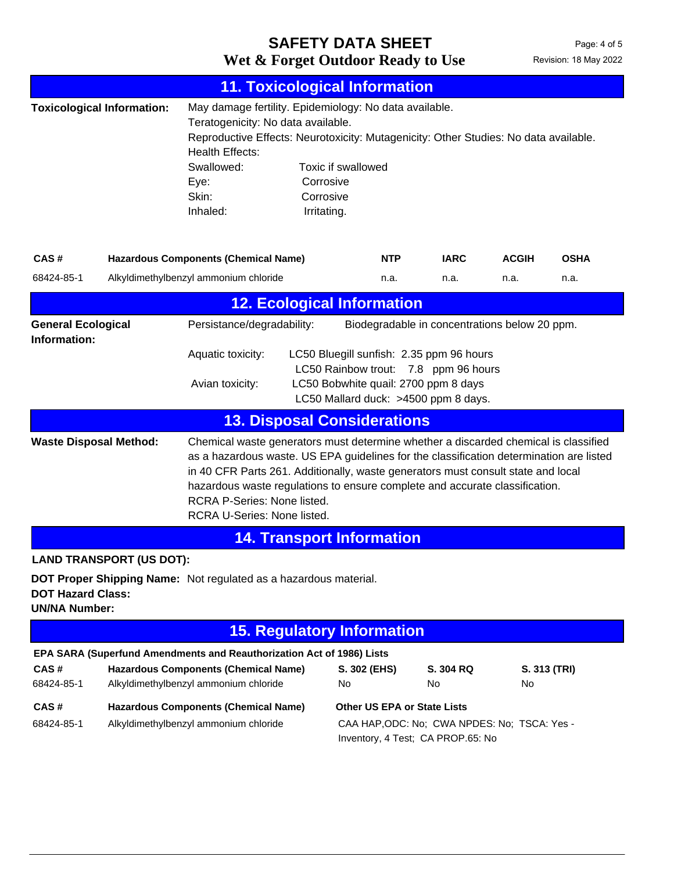# Wet & Forget Outdoor Ready to Use Revision: 18 May 2022 **SAFETY DATA SHEET**

|                                                                                                                                                                |                                                                                                                                                                                                                                                                                                                                                                                                                                                  | <b>11. Toxicological Information</b>                                                                                                                                                                                                                      |                                                             |                                                                                                                         |                 |              |              |
|----------------------------------------------------------------------------------------------------------------------------------------------------------------|--------------------------------------------------------------------------------------------------------------------------------------------------------------------------------------------------------------------------------------------------------------------------------------------------------------------------------------------------------------------------------------------------------------------------------------------------|-----------------------------------------------------------------------------------------------------------------------------------------------------------------------------------------------------------------------------------------------------------|-------------------------------------------------------------|-------------------------------------------------------------------------------------------------------------------------|-----------------|--------------|--------------|
|                                                                                                                                                                | <b>Toxicological Information:</b>                                                                                                                                                                                                                                                                                                                                                                                                                | May damage fertility. Epidemiology: No data available.<br>Teratogenicity: No data available.<br>Reproductive Effects: Neurotoxicity: Mutagenicity: Other Studies: No data available.<br><b>Health Effects:</b><br>Swallowed:<br>Eye:<br>Skin:<br>Inhaled: | Toxic if swallowed<br>Corrosive<br>Corrosive<br>Irritating. |                                                                                                                         |                 |              |              |
| CAS#                                                                                                                                                           |                                                                                                                                                                                                                                                                                                                                                                                                                                                  | <b>Hazardous Components (Chemical Name)</b>                                                                                                                                                                                                               |                                                             | <b>NTP</b>                                                                                                              | <b>IARC</b>     | <b>ACGIH</b> | <b>OSHA</b>  |
| 68424-85-1                                                                                                                                                     |                                                                                                                                                                                                                                                                                                                                                                                                                                                  | Alkyldimethylbenzyl ammonium chloride                                                                                                                                                                                                                     |                                                             | n.a.                                                                                                                    | n.a.            | n.a.         | n.a.         |
| <b>12. Ecological Information</b>                                                                                                                              |                                                                                                                                                                                                                                                                                                                                                                                                                                                  |                                                                                                                                                                                                                                                           |                                                             |                                                                                                                         |                 |              |              |
| Information:                                                                                                                                                   | Persistance/degradability:<br>Biodegradable in concentrations below 20 ppm.<br><b>General Ecological</b><br>Aquatic toxicity:<br>LC50 Bluegill sunfish: 2.35 ppm 96 hours<br>LC50 Rainbow trout: 7.8 ppm 96 hours<br>Avian toxicity:<br>LC50 Bobwhite quail: 2700 ppm 8 days<br>LC50 Mallard duck: >4500 ppm 8 days.                                                                                                                             |                                                                                                                                                                                                                                                           |                                                             |                                                                                                                         |                 |              |              |
|                                                                                                                                                                |                                                                                                                                                                                                                                                                                                                                                                                                                                                  | <b>13. Disposal Considerations</b>                                                                                                                                                                                                                        |                                                             |                                                                                                                         |                 |              |              |
|                                                                                                                                                                | Chemical waste generators must determine whether a discarded chemical is classified<br><b>Waste Disposal Method:</b><br>as a hazardous waste. US EPA guidelines for the classification determination are listed<br>in 40 CFR Parts 261. Additionally, waste generators must consult state and local<br>hazardous waste regulations to ensure complete and accurate classification.<br>RCRA P-Series: None listed.<br>RCRA U-Series: None listed. |                                                                                                                                                                                                                                                           |                                                             |                                                                                                                         |                 |              |              |
|                                                                                                                                                                |                                                                                                                                                                                                                                                                                                                                                                                                                                                  |                                                                                                                                                                                                                                                           | <b>14. Transport Information</b>                            |                                                                                                                         |                 |              |              |
| <b>LAND TRANSPORT (US DOT):</b><br><b>DOT Proper Shipping Name:</b> Not regulated as a hazardous material.<br><b>DOT Hazard Class:</b><br><b>UN/NA Number:</b> |                                                                                                                                                                                                                                                                                                                                                                                                                                                  |                                                                                                                                                                                                                                                           |                                                             |                                                                                                                         |                 |              |              |
| <b>15. Regulatory Information</b>                                                                                                                              |                                                                                                                                                                                                                                                                                                                                                                                                                                                  |                                                                                                                                                                                                                                                           |                                                             |                                                                                                                         |                 |              |              |
| CAS#<br>68424-85-1                                                                                                                                             |                                                                                                                                                                                                                                                                                                                                                                                                                                                  | EPA SARA (Superfund Amendments and Reauthorization Act of 1986) Lists<br><b>Hazardous Components (Chemical Name)</b><br>Alkyldimethylbenzyl ammonium chloride                                                                                             | No                                                          | S. 302 (EHS)                                                                                                            | S. 304 RQ<br>No | No           | S. 313 (TRI) |
| CAS#<br>68424-85-1                                                                                                                                             |                                                                                                                                                                                                                                                                                                                                                                                                                                                  | <b>Hazardous Components (Chemical Name)</b><br>Alkyldimethylbenzyl ammonium chloride                                                                                                                                                                      |                                                             | <b>Other US EPA or State Lists</b><br>CAA HAP, ODC: No; CWA NPDES: No; TSCA: Yes -<br>Inventory, 4 Test; CA PROP.65: No |                 |              |              |